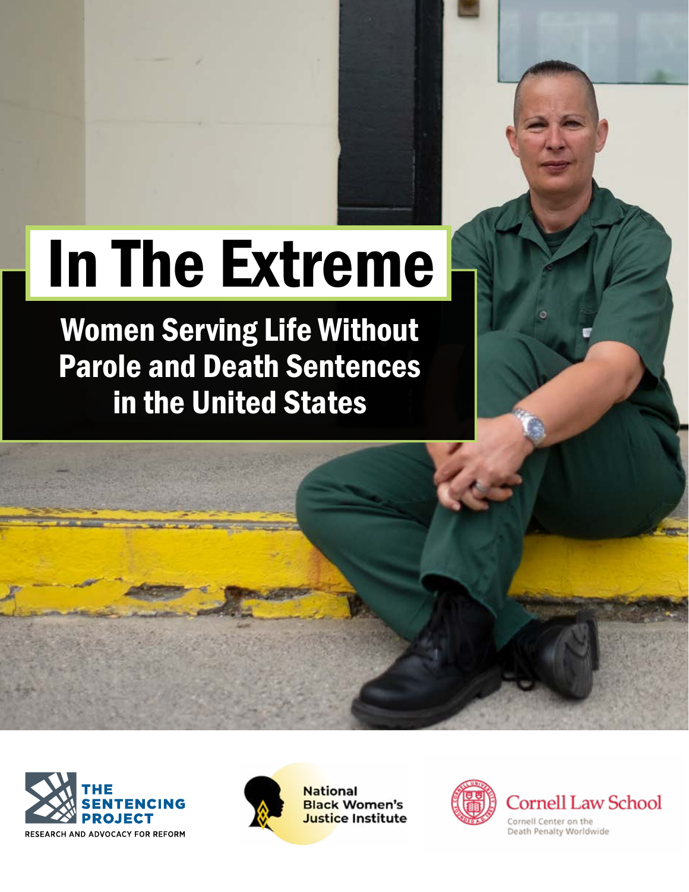# In The Extreme

Women Serving Life Without Parole and Death Sentences in the United States





**National Black Women's** Justice Institute

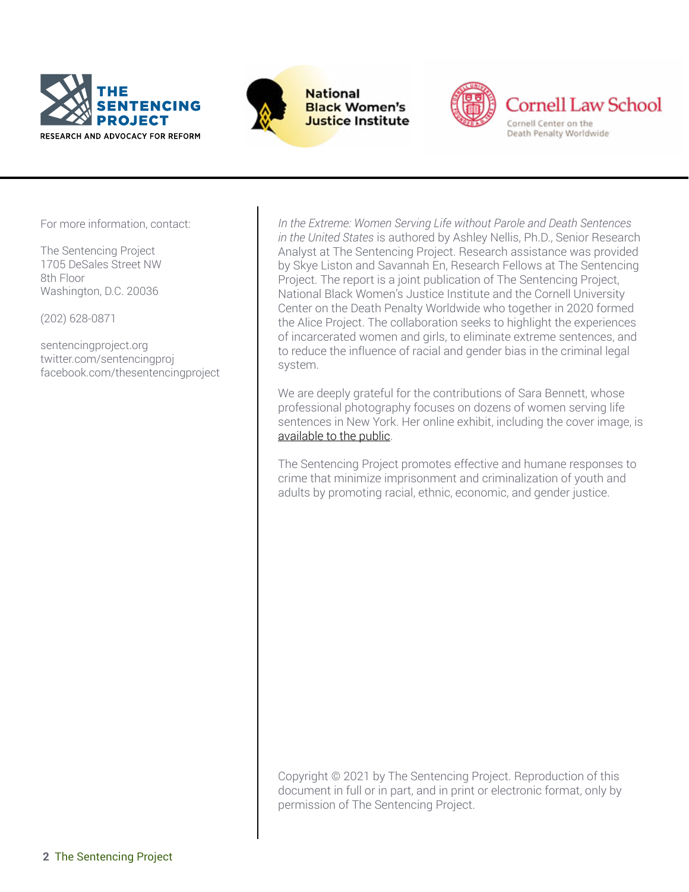



**National Black Women's Justice Institute** 



For more information, contact:

The Sentencing Project 1705 DeSales Street NW 8th Floor Washington, D.C. 20036

(202) 628-0871

sentencingproject.org twitter.com/sentencingproj facebook.com/thesentencingproject *In the Extreme: Women Serving Life without Parole and Death Sentences in the United States* is authored by Ashley Nellis, Ph.D., Senior Research Analyst at The Sentencing Project. Research assistance was provided by Skye Liston and Savannah En, Research Fellows at The Sentencing Project. The report is a joint publication of The Sentencing Project, National Black Women's Justice Institute and the Cornell University Center on the Death Penalty Worldwide who together in 2020 formed the Alice Project. The collaboration seeks to highlight the experiences of incarcerated women and girls, to eliminate extreme sentences, and to reduce the influence of racial and gender bias in the criminal legal system.

We are deeply grateful for the contributions of Sara Bennett, whose professional photography focuses on dozens of women serving life sentences in New York. Her online exhibit, including the cover image, is [available to the public.](https://sarabennett.org/life-after-life)

The Sentencing Project promotes effective and humane responses to crime that minimize imprisonment and criminalization of youth and adults by promoting racial, ethnic, economic, and gender justice.

Copyright © 2021 by The Sentencing Project. Reproduction of this document in full or in part, and in print or electronic format, only by permission of The Sentencing Project.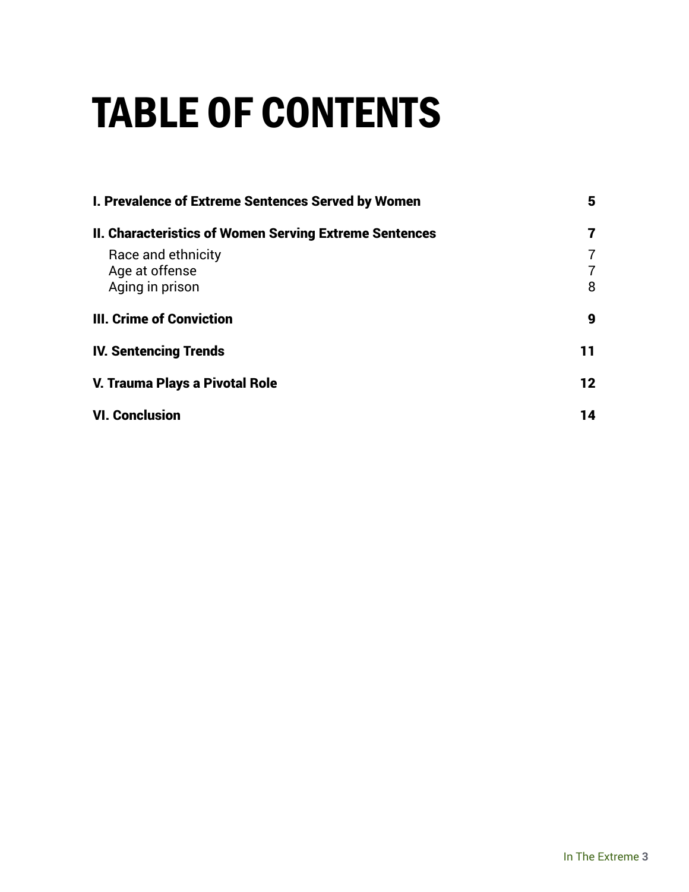### TABLE OF CONTENTS

| I. Prevalence of Extreme Sentences Served by Women            | 5           |
|---------------------------------------------------------------|-------------|
| <b>II. Characteristics of Women Serving Extreme Sentences</b> | 7           |
| Race and ethnicity<br>Age at offense<br>Aging in prison       | 7<br>7<br>8 |
| <b>III. Crime of Conviction</b>                               | 9           |
| <b>IV. Sentencing Trends</b>                                  | 11          |
| V. Trauma Plays a Pivotal Role                                | 12          |
| <b>VI. Conclusion</b>                                         | 14          |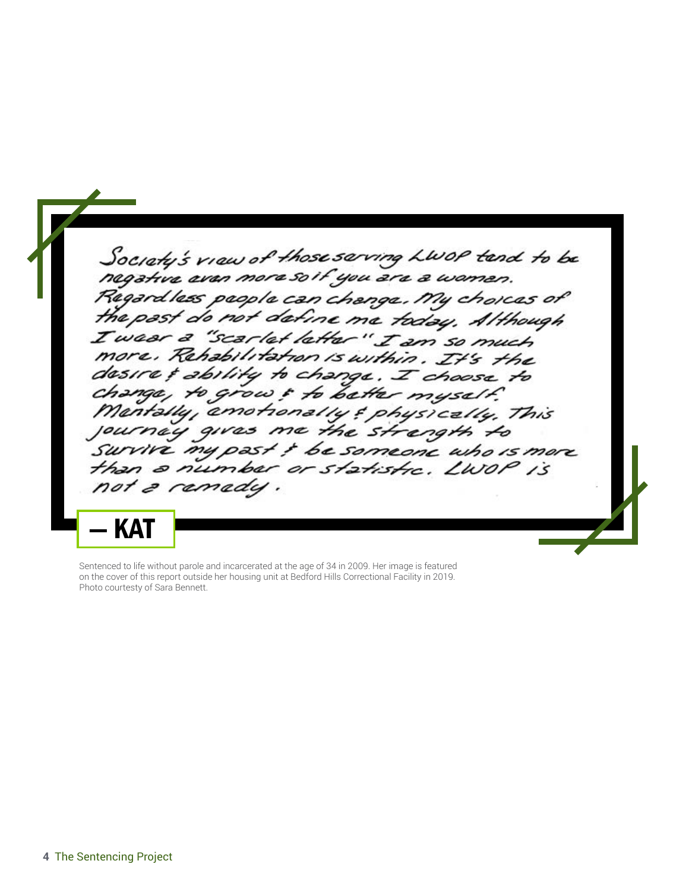Society's view of those serving LWOP tend to be negative even more soit you are a wamen. Regardless people can change. My choices of the past do not define me today. Although I wear a "scarlet letter" I am so much more, Rehabilitation is within. It's the desire & ability to change. I choose to change, to grow & to better myself. Mentally, emotionally & physically. This as me the strength to journay giv Survive my past ! be someone who is more than a number or statistic. LWOP is not a ramady KA1

Sentenced to life without parole and incarcerated at the age of 34 in 2009. Her image is featured on the cover of this report outside her housing unit at Bedford Hills Correctional Facility in 2019. Photo courtesty of Sara Bennett.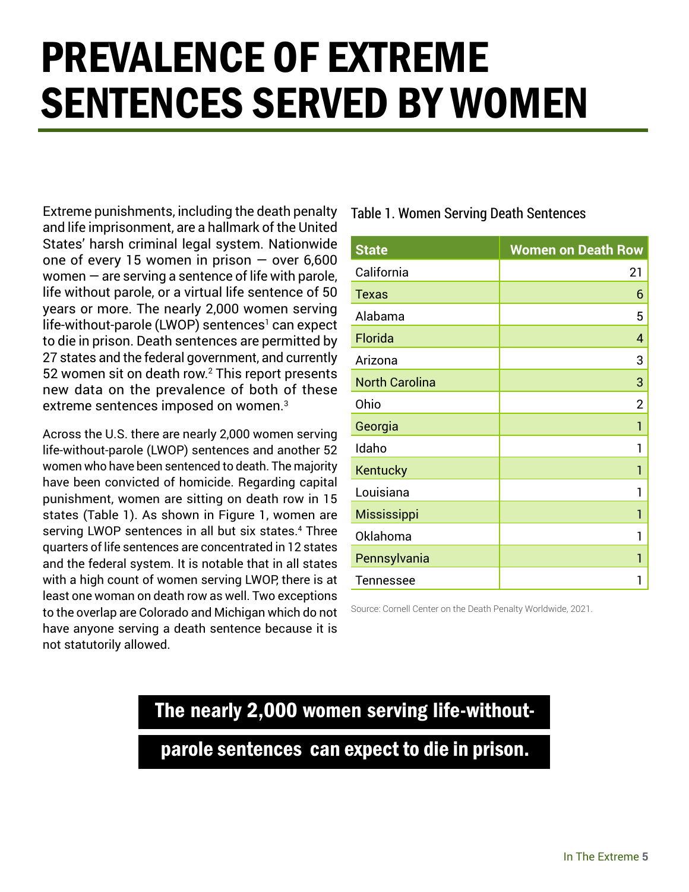### PREVALENCE OF EXTREME SENTENCES SERVED BY WOMEN

Extreme punishments, including the death penalty and life imprisonment, are a hallmark of the United States' harsh criminal legal system. Nationwide one of every 15 women in prison  $-$  over 6,600 women  $-$  are serving a sentence of life with parole, life without parole, or a virtual life sentence of 50 years or more. The nearly 2,000 women serving life-without-parole (LWOP) sentences<sup>1</sup> can expect to die in prison. Death sentences are permitted by 27 states and the federal government, and currently 52 women sit on death row.<sup>2</sup> This report presents new data on the prevalence of both of these extreme sentences imposed on women.<sup>3</sup>

Across the U.S. there are nearly 2,000 women serving life-without-parole (LWOP) sentences and another 52 women who have been sentenced to death. The majority have been convicted of homicide. Regarding capital punishment, women are sitting on death row in 15 states (Table 1). As shown in Figure 1, women are serving LWOP sentences in all but six states.4 Three quarters of life sentences are concentrated in 12 states and the federal system. It is notable that in all states with a high count of women serving LWOP, there is at least one woman on death row as well. Two exceptions to the overlap are Colorado and Michigan which do not have anyone serving a death sentence because it is not statutorily allowed.

Table 1. Women Serving Death Sentences

| <b>State</b>          | <b>Women on Death Row</b> |
|-----------------------|---------------------------|
| California            | 21                        |
| <b>Texas</b>          | 6                         |
| Alabama               | 5                         |
| Florida               | 4                         |
| Arizona               | 3                         |
| <b>North Carolina</b> | 3                         |
| Ohio                  | $\overline{2}$            |
| Georgia               | 1                         |
| Idaho                 | 1                         |
| Kentucky              | 1                         |
| Louisiana             | 1                         |
| <b>Mississippi</b>    | 1                         |
| Oklahoma              |                           |
| Pennsylvania          | 1                         |
| <b>Tennessee</b>      |                           |

Source: Cornell Center on the Death Penalty Worldwide, 2021.

#### The nearly 2,000 women serving life-without-

parole sentences can expect to die in prison.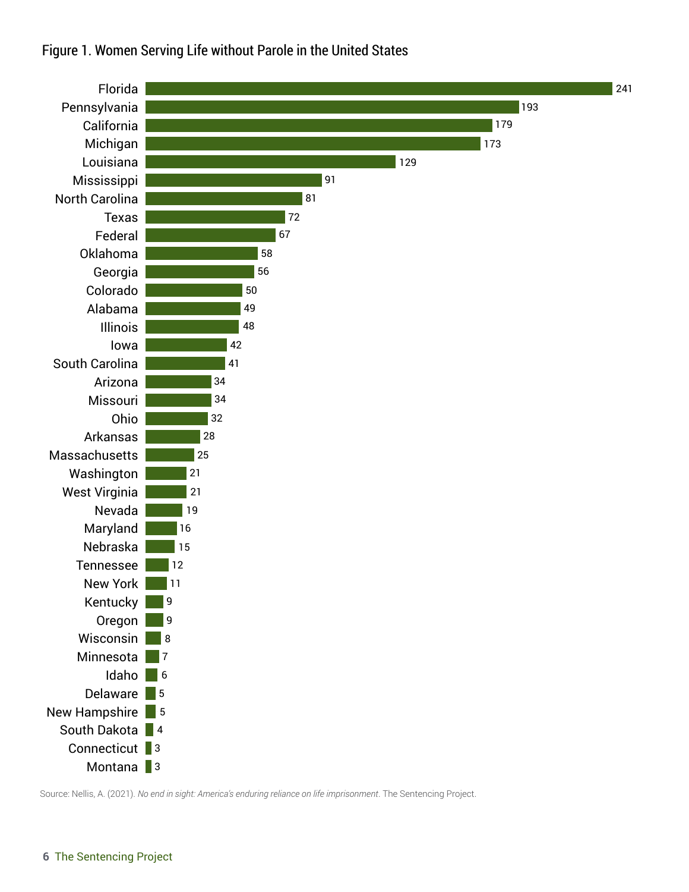

#### Figure 1. Women Serving Life without Parole in the United States

Source: Nellis, A. (2021). *No end in sight: America's enduring reliance on life imprisonment*. The Sentencing Project.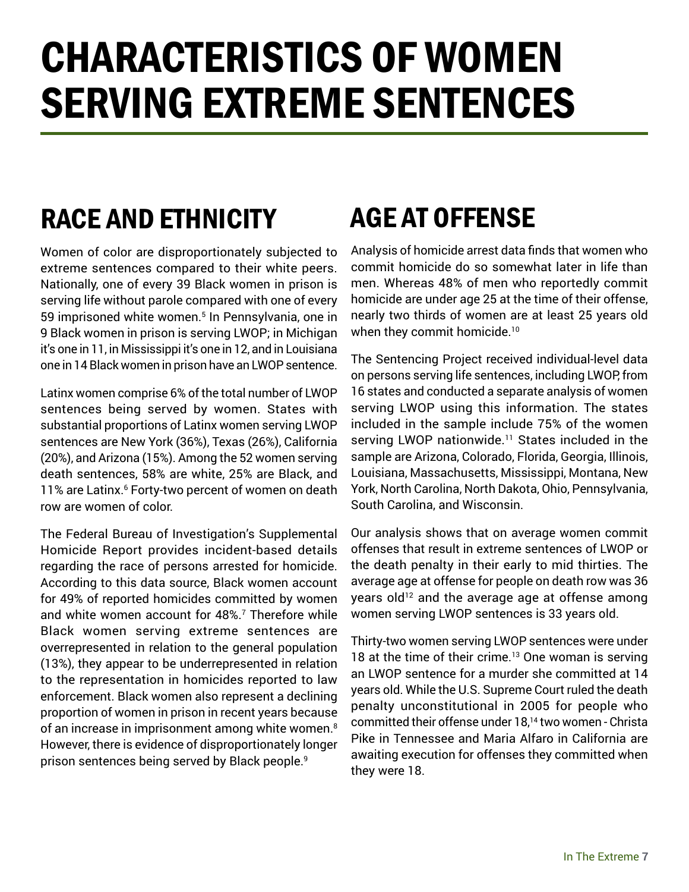### CHARACTERISTICS OF WOMEN SERVING EXTREME SENTENCES

### RACE AND ETHNICITY

Women of color are disproportionately subjected to extreme sentences compared to their white peers. Nationally, one of every 39 Black women in prison is serving life without parole compared with one of every 59 imprisoned white women.<sup>5</sup> In Pennsylvania, one in 9 Black women in prison is serving LWOP; in Michigan it's one in 11, in Mississippi it's one in 12, and in Louisiana one in 14 Black women in prison have an LWOP sentence.

Latinx women comprise 6% of the total number of LWOP sentences being served by women. States with substantial proportions of Latinx women serving LWOP sentences are New York (36%), Texas (26%), California (20%), and Arizona (15%). Among the 52 women serving death sentences, 58% are white, 25% are Black, and 11% are Latinx.<sup>6</sup> Forty-two percent of women on death row are women of color.

The Federal Bureau of Investigation's Supplemental Homicide Report provides incident-based details regarding the race of persons arrested for homicide. According to this data source, Black women account for 49% of reported homicides committed by women and white women account for 48%.<sup>7</sup> Therefore while Black women serving extreme sentences are overrepresented in relation to the general population (13%), they appear to be underrepresented in relation to the representation in homicides reported to law enforcement. Black women also represent a declining proportion of women in prison in recent years because of an increase in imprisonment among white women.<sup>8</sup> However, there is evidence of disproportionately longer prison sentences being served by Black people.<sup>9</sup>

### AGE AT OFFENSE

Analysis of homicide arrest data finds that women who commit homicide do so somewhat later in life than men. Whereas 48% of men who reportedly commit homicide are under age 25 at the time of their offense, nearly two thirds of women are at least 25 years old when they commit homicide.<sup>10</sup>

The Sentencing Project received individual-level data on persons serving life sentences, including LWOP, from 16 states and conducted a separate analysis of women serving LWOP using this information. The states included in the sample include 75% of the women serving LWOP nationwide.<sup>11</sup> States included in the sample are Arizona, Colorado, Florida, Georgia, Illinois, Louisiana, Massachusetts, Mississippi, Montana, New York, North Carolina, North Dakota, Ohio, Pennsylvania, South Carolina, and Wisconsin.

Our analysis shows that on average women commit offenses that result in extreme sentences of LWOP or the death penalty in their early to mid thirties. The average age at offense for people on death row was 36 years old<sup>12</sup> and the average age at offense among women serving LWOP sentences is 33 years old.

Thirty-two women serving LWOP sentences were under 18 at the time of their crime.<sup>13</sup> One woman is serving an LWOP sentence for a murder she committed at 14 years old. While the U.S. Supreme Court ruled the death penalty unconstitutional in 2005 for people who committed their offense under 18,14 two women - Christa Pike in Tennessee and Maria Alfaro in California are awaiting execution for offenses they committed when they were 18.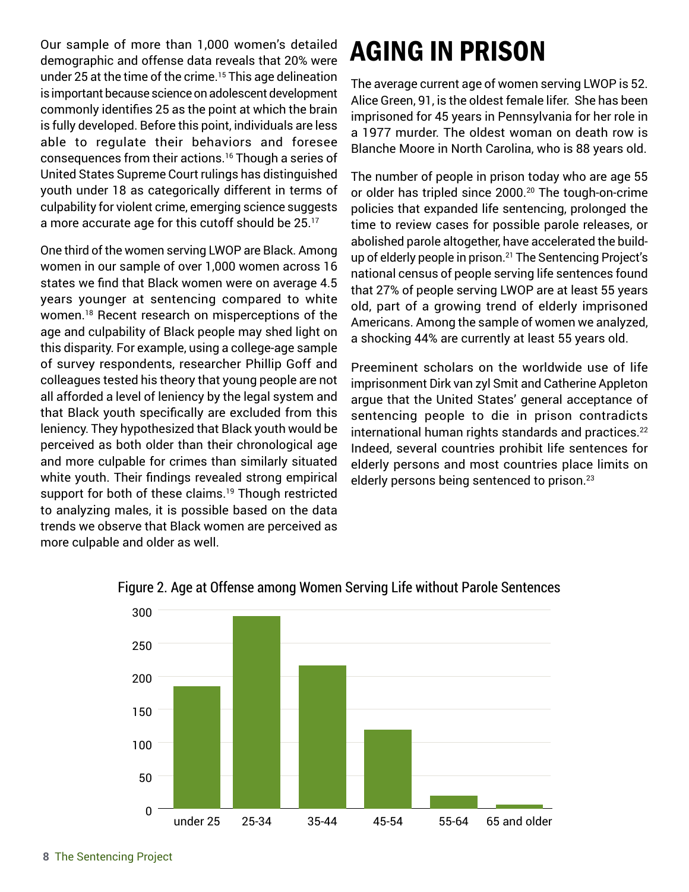Our sample of more than 1,000 women's detailed demographic and offense data reveals that 20% were under 25 at the time of the crime.<sup>15</sup> This age delineation is important because science on adolescent development commonly identifies 25 as the point at which the brain is fully developed. Before this point, individuals are less able to regulate their behaviors and foresee consequences from their actions.16 Though a series of United States Supreme Court rulings has distinguished youth under 18 as categorically different in terms of culpability for violent crime, emerging science suggests a more accurate age for this cutoff should be 25.17

One third of the women serving LWOP are Black. Among women in our sample of over 1,000 women across 16 states we find that Black women were on average 4.5 years younger at sentencing compared to white women.18 Recent research on misperceptions of the age and culpability of Black people may shed light on this disparity. For example, using a college-age sample of survey respondents, researcher Phillip Goff and colleagues tested his theory that young people are not all afforded a level of leniency by the legal system and that Black youth specifically are excluded from this leniency. They hypothesized that Black youth would be perceived as both older than their chronological age and more culpable for crimes than similarly situated white youth. Their findings revealed strong empirical support for both of these claims.<sup>19</sup> Though restricted to analyzing males, it is possible based on the data trends we observe that Black women are perceived as more culpable and older as well.

### AGING IN PRISON

The average current age of women serving LWOP is 52. Alice Green, 91, is the oldest female lifer. She has been imprisoned for 45 years in Pennsylvania for her role in a 1977 murder. The oldest woman on death row is Blanche Moore in North Carolina, who is 88 years old.

The number of people in prison today who are age 55 or older has tripled since 2000.<sup>20</sup> The tough-on-crime policies that expanded life sentencing, prolonged the time to review cases for possible parole releases, or abolished parole altogether, have accelerated the buildup of elderly people in prison.<sup>21</sup> The Sentencing Project's national census of people serving life sentences found that 27% of people serving LWOP are at least 55 years old, part of a growing trend of elderly imprisoned Americans. Among the sample of women we analyzed, a shocking 44% are currently at least 55 years old.

Preeminent scholars on the worldwide use of life imprisonment Dirk van zyl Smit and Catherine Appleton argue that the United States' general acceptance of sentencing people to die in prison contradicts international human rights standards and practices.<sup>22</sup> Indeed, several countries prohibit life sentences for elderly persons and most countries place limits on elderly persons being sentenced to prison.<sup>23</sup>



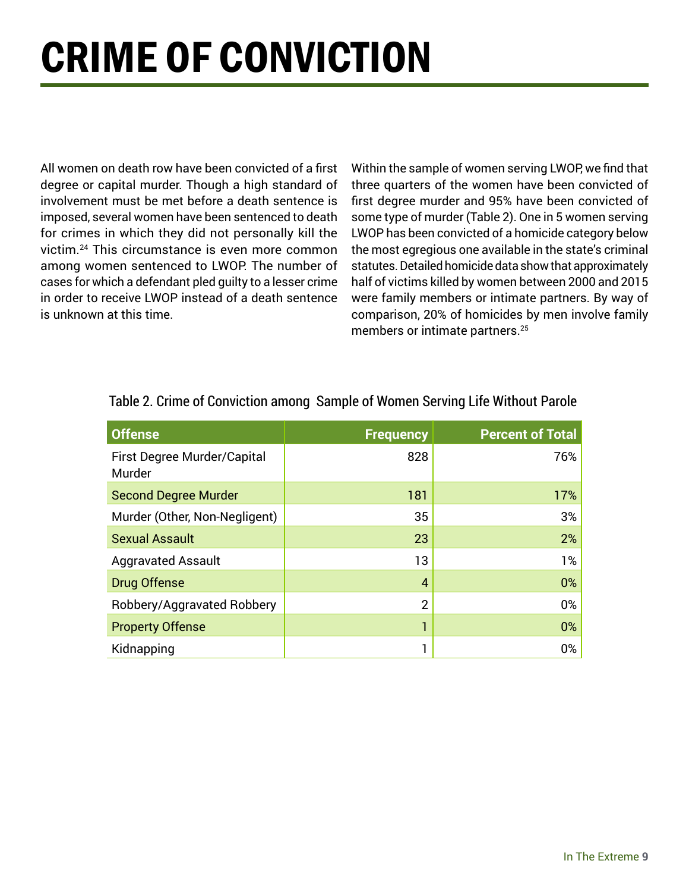## CRIME OF CONVICTION

All women on death row have been convicted of a first degree or capital murder. Though a high standard of involvement must be met before a death sentence is imposed, several women have been sentenced to death for crimes in which they did not personally kill the victim.24 This circumstance is even more common among women sentenced to LWOP. The number of cases for which a defendant pled guilty to a lesser crime in order to receive LWOP instead of a death sentence is unknown at this time.

Within the sample of women serving LWOP, we find that three quarters of the women have been convicted of first degree murder and 95% have been convicted of some type of murder (Table 2). One in 5 women serving LWOP has been convicted of a homicide category below the most egregious one available in the state's criminal statutes. Detailed homicide data show that approximately half of victims killed by women between 2000 and 2015 were family members or intimate partners. By way of comparison, 20% of homicides by men involve family members or intimate partners.<sup>25</sup>

| <b>Offense</b>                               | <b>Frequency</b> | <b>Percent of Total</b> |
|----------------------------------------------|------------------|-------------------------|
| <b>First Degree Murder/Capital</b><br>Murder | 828              | 76%                     |
| <b>Second Degree Murder</b>                  | 181              | 17%                     |
| Murder (Other, Non-Negligent)                | 35               | 3%                      |
| <b>Sexual Assault</b>                        | 23               | 2%                      |
| <b>Aggravated Assault</b>                    | 13               | $1\%$                   |
| <b>Drug Offense</b>                          | $\overline{4}$   | 0%                      |
| Robbery/Aggravated Robbery                   | $\overline{2}$   | $0\%$                   |
| <b>Property Offense</b>                      | 1                | 0%                      |
| Kidnapping                                   | 1                | 0%                      |

#### Table 2. Crime of Conviction among Sample of Women Serving Life Without Parole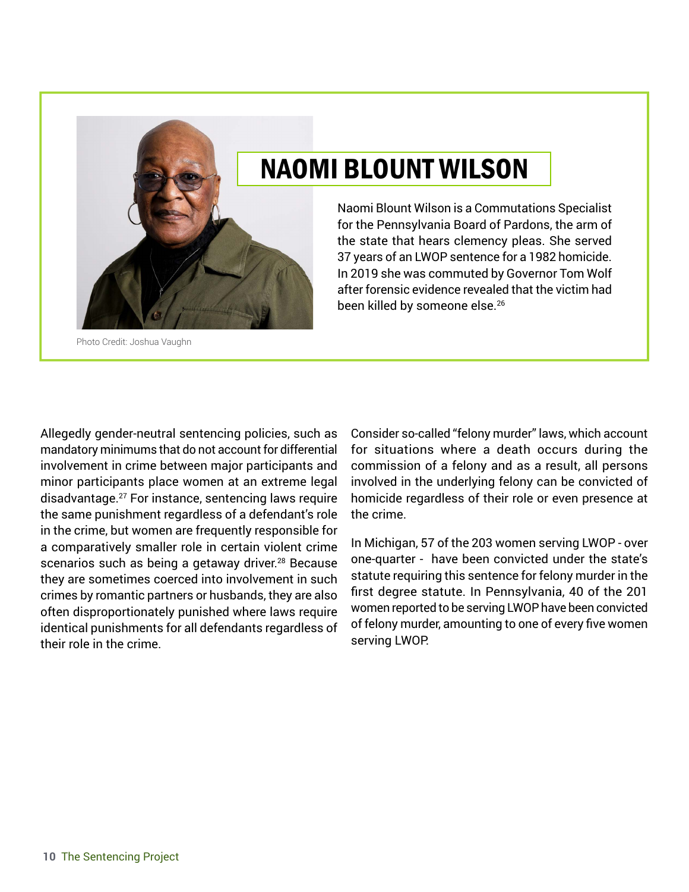

Photo Credit: Joshua Vaughn

#### NAOMI BLOUNT WILSON

Naomi Blount Wilson is a Commutations Specialist for the Pennsylvania Board of Pardons, the arm of the state that hears clemency pleas. She served 37 years of an LWOP sentence for a 1982 homicide. In 2019 she was commuted by Governor Tom Wolf after forensic evidence revealed that the victim had been killed by someone else.<sup>26</sup>

Allegedly gender-neutral sentencing policies, such as mandatory minimums that do not account for differential involvement in crime between major participants and minor participants place women at an extreme legal disadvantage.27 For instance, sentencing laws require the same punishment regardless of a defendant's role in the crime, but women are frequently responsible for a comparatively smaller role in certain violent crime scenarios such as being a getaway driver.<sup>28</sup> Because they are sometimes coerced into involvement in such crimes by romantic partners or husbands, they are also often disproportionately punished where laws require identical punishments for all defendants regardless of their role in the crime.

Consider so-called "felony murder" laws, which account for situations where a death occurs during the commission of a felony and as a result, all persons involved in the underlying felony can be convicted of homicide regardless of their role or even presence at the crime.

In Michigan, 57 of the 203 women serving LWOP - over one-quarter - have been convicted under the state's statute requiring this sentence for felony murder in the first degree statute. In Pennsylvania, 40 of the 201 women reported to be serving LWOP have been convicted of felony murder, amounting to one of every five women serving LWOP.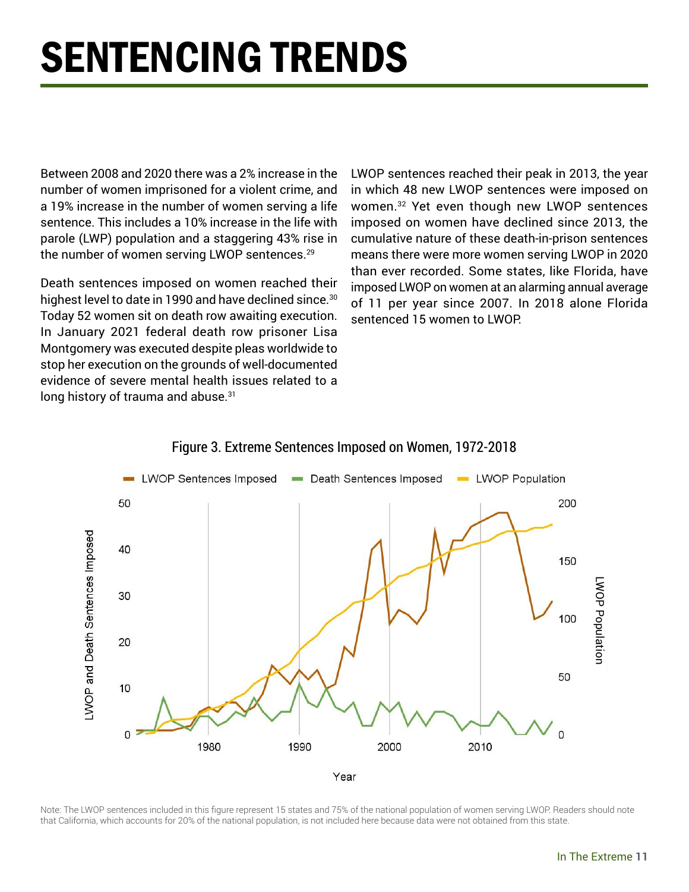## SENTENCING TRENDS

Between 2008 and 2020 there was a 2% increase in the number of women imprisoned for a violent crime, and a 19% increase in the number of women serving a life sentence. This includes a 10% increase in the life with parole (LWP) population and a staggering 43% rise in the number of women serving LWOP sentences.<sup>29</sup>

Death sentences imposed on women reached their highest level to date in 1990 and have declined since.<sup>30</sup> Today 52 women sit on death row awaiting execution. In January 2021 federal death row prisoner Lisa Montgomery was executed despite pleas worldwide to stop her execution on the grounds of well-documented evidence of severe mental health issues related to a long history of trauma and abuse.<sup>31</sup>

LWOP sentences reached their peak in 2013, the year in which 48 new LWOP sentences were imposed on women.32 Yet even though new LWOP sentences imposed on women have declined since 2013, the cumulative nature of these death-in-prison sentences means there were more women serving LWOP in 2020 than ever recorded. Some states, like Florida, have imposed LWOP on women at an alarming annual average of 11 per year since 2007. In 2018 alone Florida sentenced 15 women to LWOP.



#### Figure 3. Extreme Sentences Imposed on Women, 1972-2018

Note: The LWOP sentences included in this figure represent 15 states and 75% of the national population of women serving LWOP. Readers should note that California, which accounts for 20% of the national population, is not included here because data were not obtained from this state.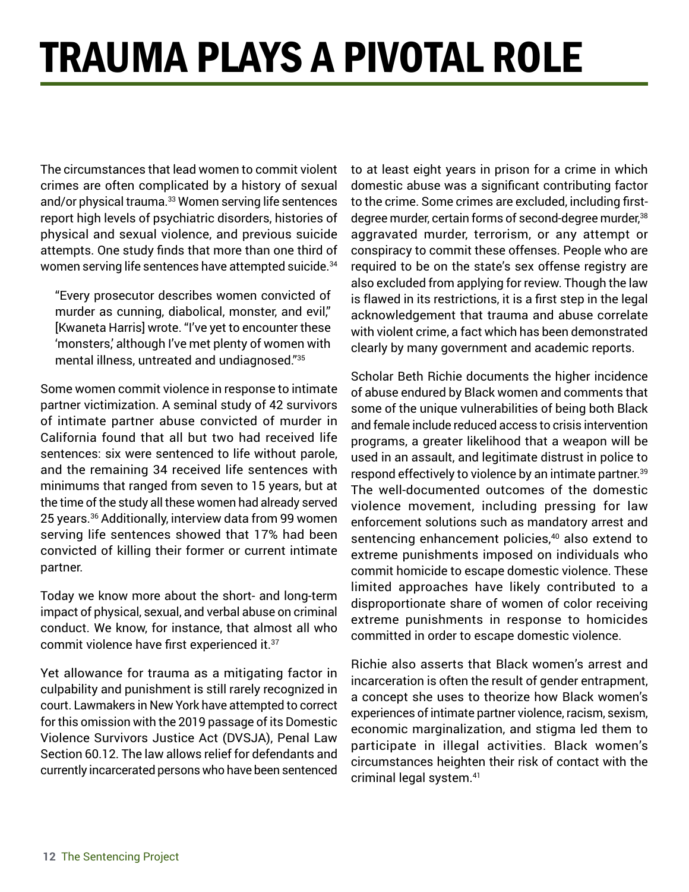## TRAUMA PLAYS A PIVOTAL ROLE

The circumstances that lead women to commit violent crimes are often complicated by a history of sexual and/or physical trauma.<sup>33</sup> Women serving life sentences report high levels of psychiatric disorders, histories of physical and sexual violence, and previous suicide attempts. One study finds that more than one third of women serving life sentences have attempted suicide.<sup>34</sup>

"Every prosecutor describes women convicted of murder as cunning, diabolical, monster, and evil," [Kwaneta Harris] wrote. "I've yet to encounter these 'monsters,' although I've met plenty of women with mental illness, untreated and undiagnosed."35

Some women commit violence in response to intimate partner victimization. A seminal study of 42 survivors of intimate partner abuse convicted of murder in California found that all but two had received life sentences: six were sentenced to life without parole, and the remaining 34 received life sentences with minimums that ranged from seven to 15 years, but at the time of the study all these women had already served 25 years.36 Additionally, interview data from 99 women serving life sentences showed that 17% had been convicted of killing their former or current intimate partner.

Today we know more about the short- and long-term impact of physical, sexual, and verbal abuse on criminal conduct. We know, for instance, that almost all who commit violence have first experienced it.<sup>37</sup>

Yet allowance for trauma as a mitigating factor in culpability and punishment is still rarely recognized in court. Lawmakers in New York have attempted to correct for this omission with the 2019 passage of its Domestic Violence Survivors Justice Act (DVSJA), Penal Law Section 60.12. The law allows relief for defendants and currently incarcerated persons who have been sentenced

to at least eight years in prison for a crime in which domestic abuse was a significant contributing factor to the crime. Some crimes are excluded, including firstdegree murder, certain forms of second-degree murder,<sup>38</sup> aggravated murder, terrorism, or any attempt or conspiracy to commit these offenses. People who are required to be on the state's sex offense registry are also excluded from applying for review. Though the law is flawed in its restrictions, it is a first step in the legal acknowledgement that trauma and abuse correlate with violent crime, a fact which has been demonstrated clearly by many government and academic reports.

Scholar Beth Richie documents the higher incidence of abuse endured by Black women and comments that some of the unique vulnerabilities of being both Black and female include reduced access to crisis intervention programs, a greater likelihood that a weapon will be used in an assault, and legitimate distrust in police to respond effectively to violence by an intimate partner.<sup>39</sup> The well-documented outcomes of the domestic violence movement, including pressing for law enforcement solutions such as mandatory arrest and sentencing enhancement policies,<sup>40</sup> also extend to extreme punishments imposed on individuals who commit homicide to escape domestic violence. These limited approaches have likely contributed to a disproportionate share of women of color receiving extreme punishments in response to homicides committed in order to escape domestic violence.

Richie also asserts that Black women's arrest and incarceration is often the result of gender entrapment, a concept she uses to theorize how Black women's experiences of intimate partner violence, racism, sexism, economic marginalization, and stigma led them to participate in illegal activities. Black women's circumstances heighten their risk of contact with the criminal legal system.41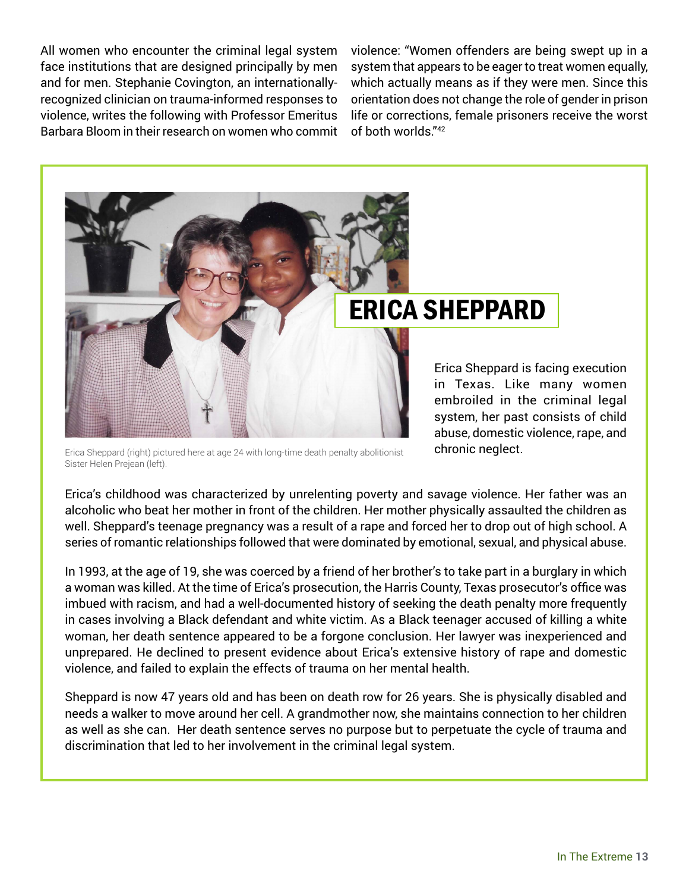All women who encounter the criminal legal system face institutions that are designed principally by men and for men. Stephanie Covington, an internationallyrecognized clinician on trauma-informed responses to violence, writes the following with Professor Emeritus Barbara Bloom in their research on women who commit

violence: "Women offenders are being swept up in a system that appears to be eager to treat women equally, which actually means as if they were men. Since this orientation does not change the role of gender in prison life or corrections, female prisoners receive the worst of both worlds."42



Erica Sheppard (right) pictured here at age 24 with long-time death penalty abolitionist Sister Helen Prejean (left).

Erica's childhood was characterized by unrelenting poverty and savage violence. Her father was an alcoholic who beat her mother in front of the children. Her mother physically assaulted the children as well. Sheppard's teenage pregnancy was a result of a rape and forced her to drop out of high school. A series of romantic relationships followed that were dominated by emotional, sexual, and physical abuse.

In 1993, at the age of 19, she was coerced by a friend of her brother's to take part in a burglary in which a woman was killed. At the time of Erica's prosecution, the Harris County, Texas prosecutor's office was imbued with racism, and had a well-documented history of seeking the death penalty more frequently in cases involving a Black defendant and white victim. As a Black teenager accused of killing a white woman, her death sentence appeared to be a forgone conclusion. Her lawyer was inexperienced and unprepared. He declined to present evidence about Erica's extensive history of rape and domestic violence, and failed to explain the effects of trauma on her mental health.

Sheppard is now 47 years old and has been on death row for 26 years. She is physically disabled and needs a walker to move around her cell. A grandmother now, she maintains connection to her children as well as she can. Her death sentence serves no purpose but to perpetuate the cycle of trauma and discrimination that led to her involvement in the criminal legal system.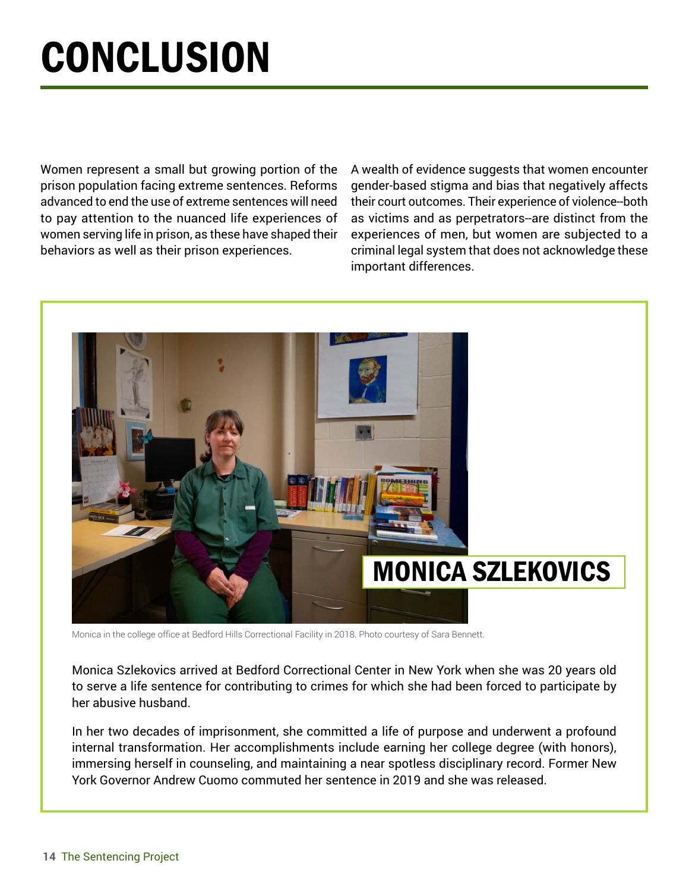## **CONCLUSION**

Women represent a small but growing portion of the prison population facing extreme sentences. Reforms advanced to end the use of extreme sentences will need to pay attention to the nuanced life experiences of women serving life in prison, as these have shaped their behaviors as well as their prison experiences.

A wealth of evidence suggests that women encounter gender-based stigma and bias that negatively affects their court outcomes. Their experience of violence--both as victims and as perpetrators--are distinct from the experiences of men, but women are subjected to a criminal legal system that does not acknowledge these important differences.



Monica in the college office at Bedford Hills Correctional Facility in 2018. Photo courtesy of Sara Bennett.

Monica Szlekovics arrived at Bedford Correctional Center in New York when she was 20 years old to serve a life sentence for contributing to crimes for which she had been forced to participate by her abusive husband.

In her two decades of imprisonment, she committed a life of purpose and underwent a profound internal transformation. Her accomplishments include earning her college degree (with honors), immersing herself in counseling, and maintaining a near spotless disciplinary record. Former New York Governor Andrew Cuomo commuted her sentence in 2019 and she was released.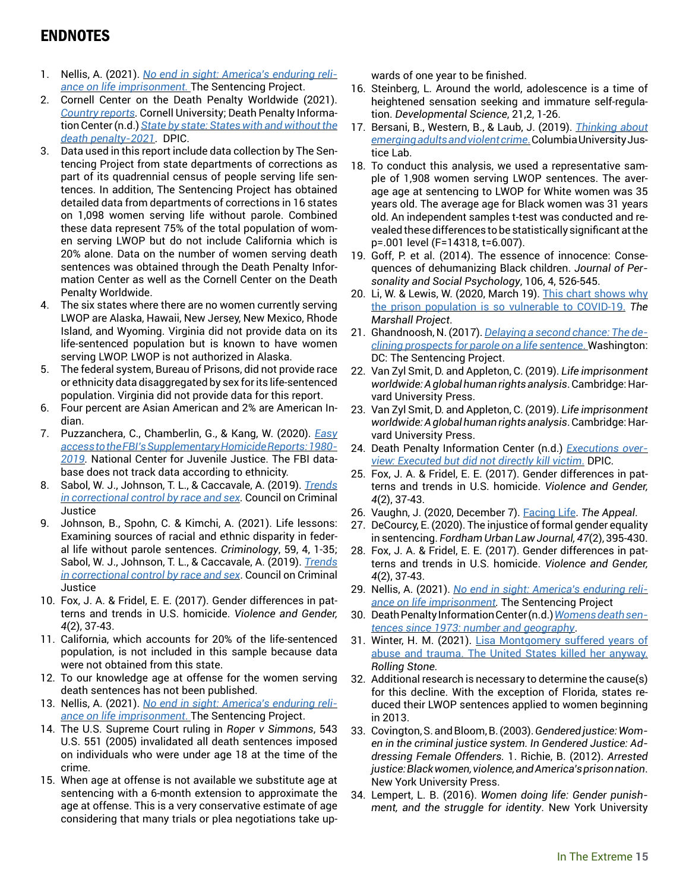#### ENDNOTES

- 1. Nellis, A. (2021). *[No end in sight: America's enduring reli](https://www.sentencingproject.org/wp-content/uploads/2021/02/No-End-in-Sight-Americas-Enduring-Reliance-on-Life-Imprisonment.pdf)[ance on life imprisonment.](https://www.sentencingproject.org/wp-content/uploads/2021/02/No-End-in-Sight-Americas-Enduring-Reliance-on-Life-Imprisonment.pdf)* The Sentencing Project.
- 2. Cornell Center on the Death Penalty Worldwide (2021). *[Country reports.](https://deathpenaltyworldwide.org/database/#/results/country?id=84)* Cornell University; Death Penalty Information Center (n.d.) *[State by state: States with and without the](https://deathpenaltyinfo.org/state-and-federal-info/state-by-state) [death penalty-2021](https://deathpenaltyinfo.org/state-and-federal-info/state-by-state)*. DPIC.
- 3. Data used in this report include data collection by The Sentencing Project from state departments of corrections as part of its quadrennial census of people serving life sentences. In addition, The Sentencing Project has obtained detailed data from departments of corrections in 16 states on 1,098 women serving life without parole. Combined these data represent 75% of the total population of women serving LWOP but do not include California which is 20% alone. Data on the number of women serving death sentences was obtained through the Death Penalty Information Center as well as the Cornell Center on the Death Penalty Worldwide.
- 4. The six states where there are no women currently serving LWOP are Alaska, Hawaii, New Jersey, New Mexico, Rhode Island, and Wyoming. Virginia did not provide data on its life-sentenced population but is known to have women serving LWOP. LWOP is not authorized in Alaska.
- 5. The federal system, Bureau of Prisons, did not provide race or ethnicity data disaggregated by sex for its life-sentenced population. Virginia did not provide data for this report.
- 6. Four percent are Asian American and 2% are American Indian.
- 7. Puzzanchera, C., Chamberlin, G., & Kang, W. (2020). *[Easy](https://www.ojjdp.gov/ojstatbb/ezashr/) [access to the FBI's Supplementary Homicide Reports: 1980-](https://www.ojjdp.gov/ojstatbb/ezashr/) [2019](https://www.ojjdp.gov/ojstatbb/ezashr/).* National Center for Juvenile Justice. The FBI database does not track data according to ethnicity.
- 8. Sabol, W. J., Johnson, T. L., & Caccavale, A. (2019). *[Trends](https://counciloncj.foleon.com/reports/trends-key-findings/overview/)  [in correctional control by race and sex.](https://counciloncj.foleon.com/reports/trends-key-findings/overview/)* Council on Criminal Justice
- 9. Johnson, B., Spohn, C. & Kimchi, A. (2021). Life lessons: Examining sources of racial and ethnic disparity in federal life without parole sentences. *Criminology*, 59, 4, 1-35; Sabol, W. J., Johnson, T. L., & Caccavale, A. (2019). *[Trends](https://counciloncj.foleon.com/reports/trends-key-findings/overview/) [in correctional control by race and sex](https://counciloncj.foleon.com/reports/trends-key-findings/overview/)*. Council on Criminal **Justice**
- 10. Fox, J. A. & Fridel, E. E. (2017). Gender differences in patterns and trends in U.S. homicide. *Violence and Gender, 4*(2), 37-43.
- 11. California, which accounts for 20% of the life-sentenced population, is not included in this sample because data were not obtained from this state.
- 12. To our knowledge age at offense for the women serving death sentences has not been published.
- 13. Nellis, A. (2021). *[No end in sight: America's enduring reli](https://www.sentencingproject.org/wp-content/uploads/2021/02/No-End-in-Sight-Americas-Enduring-Reliance-on-Life-Imprisonment.pdf)[ance on life imprisonment](https://www.sentencingproject.org/wp-content/uploads/2021/02/No-End-in-Sight-Americas-Enduring-Reliance-on-Life-Imprisonment.pdf)*. The Sentencing Project.
- 14. The U.S. Supreme Court ruling in *Roper v Simmons*, 543 U.S. 551 (2005) invalidated all death sentences imposed on individuals who were under age 18 at the time of the crime.
- 15. When age at offense is not available we substitute age at sentencing with a 6-month extension to approximate the age at offense. This is a very conservative estimate of age considering that many trials or plea negotiations take up-

wards of one year to be finished.

- 16. Steinberg, L. Around the world, adolescence is a time of heightened sensation seeking and immature self-regulation. *Developmental Science*, 21,2, 1-26.
- 17. Bersani, B., Western, B., & Laub, J. (2019). *[Thinking about](https://justicelab.columbia.edu/sites/default/files/content/EAJLC_YouthViolentCrime_final.pdf)  [emerging adults and violent crime](https://justicelab.columbia.edu/sites/default/files/content/EAJLC_YouthViolentCrime_final.pdf)*. Columbia University Justice Lab.
- 18. To conduct this analysis, we used a representative sample of 1,908 women serving LWOP sentences. The average age at sentencing to LWOP for White women was 35 years old. The average age for Black women was 31 years old. An independent samples t-test was conducted and revealed these differences to be statistically significant at the p=.001 level (F=14318, t=6.007).
- 19. Goff, P. et al. (2014). The essence of innocence: Consequences of dehumanizing Black children. *Journal of Personality and Social Psychology*, 106, 4, 526-545.
- 20. Li, W. & Lewis, W. (2020, March 19). This chart shows why [the prison population is so vulnerable to COVID-19.](https://www.themarshallproject.org/2020/03/19/this-chart-shows-why-the-prison- population-is-so-vulnerable-to-covid-19) *The Marshall Project*.
- 21. Ghandnoosh, N. (2017). *[Delaying a second chance: The de](https://www.sentencingproject.org/wp-content/uploads/2017/01/Delaying-a-Second-Chance.pdf)[clining prospects for parole on a life sentence](https://www.sentencingproject.org/wp-content/uploads/2017/01/Delaying-a-Second-Chance.pdf)*. Washington: DC: The Sentencing Project.
- 22. Van Zyl Smit, D. and Appleton, C. (2019). *Life imprisonment worldwide: A global human rights analysis*. Cambridge: Harvard University Press.
- 23. Van Zyl Smit, D. and Appleton, C. (2019). *Life imprisonment worldwide: A global human rights analysis*. Cambridge: Harvard University Press.
- 24. Death Penalty Information Center (n.d.) *[Executions over](https://deathpenaltyinfo.org/executions/executions-overview/executed-but-did-not-directly-kill-victim)[view: Executed but did not directly kill victim](https://deathpenaltyinfo.org/executions/executions-overview/executed-but-did-not-directly-kill-victim)*. DPIC.
- 25. Fox, J. A. & Fridel, E. E. (2017). Gender differences in patterns and trends in U.S. homicide. *Violence and Gender, 4*(2), 37-43.
- 26. Vaughn, J. (2020, December 7). [Facing Life.](https://theappeal.org/life-in-prison-pennsylvania-portraits/) *The Appeal*.
- 27. DeCourcy, E. (2020). The injustice of formal gender equality in sentencing. *Fordham Urban Law Journal, 47*(2), 395-430.
- 28. Fox, J. A. & Fridel, E. E. (2017). Gender differences in patterns and trends in U.S. homicide. *Violence and Gender, 4*(2), 37-43.
- 29. Nellis, A. (2021). *[No end in sight: America's enduring reli](https://www.sentencingproject.org/wp-content/uploads/2021/02/No-End-in-Sight-Americas-Enduring-Reliance-on-Life-Imprisonment.pdf)[ance on life imprisonment.](https://www.sentencingproject.org/wp-content/uploads/2021/02/No-End-in-Sight-Americas-Enduring-Reliance-on-Life-Imprisonment.pdf)* The Sentencing Project
- 30. Death Penalty Information Center (n.d.) *[Womens death sen](https://deathpenaltyinfo.org/death-row/women/womens-death-sentences-since-1973-number-and-geography)[tences since 1973: number and geography](https://deathpenaltyinfo.org/death-row/women/womens-death-sentences-since-1973-number-and-geography)*.
- 31. Winter, H. M. (2021). [Lisa Montgomery suffered years of](https://www.rollingstone.com/culture/culture-features/lisa-montgomery-kelley-henry-death-penalty-capital-punishment-1117592/) [abuse and trauma. The United States killed her anyway.](https://www.rollingstone.com/culture/culture-features/lisa-montgomery-kelley-henry-death-penalty-capital-punishment-1117592/) *Rolling Stone.*
- 32. Additional research is necessary to determine the cause(s) for this decline. With the exception of Florida, states reduced their LWOP sentences applied to women beginning in 2013.
- 33. Covington, S. and Bloom, B. (2003). *Gendered justice: Women in the criminal justice system. In Gendered Justice: Addressing Female Offenders.* 1. Richie, B. (2012). *Arrested justice: Black women, violence, and America's prison nation*. New York University Press.
- 34. Lempert, L. B. (2016). *Women doing life: Gender punishment, and the struggle for identity*. New York University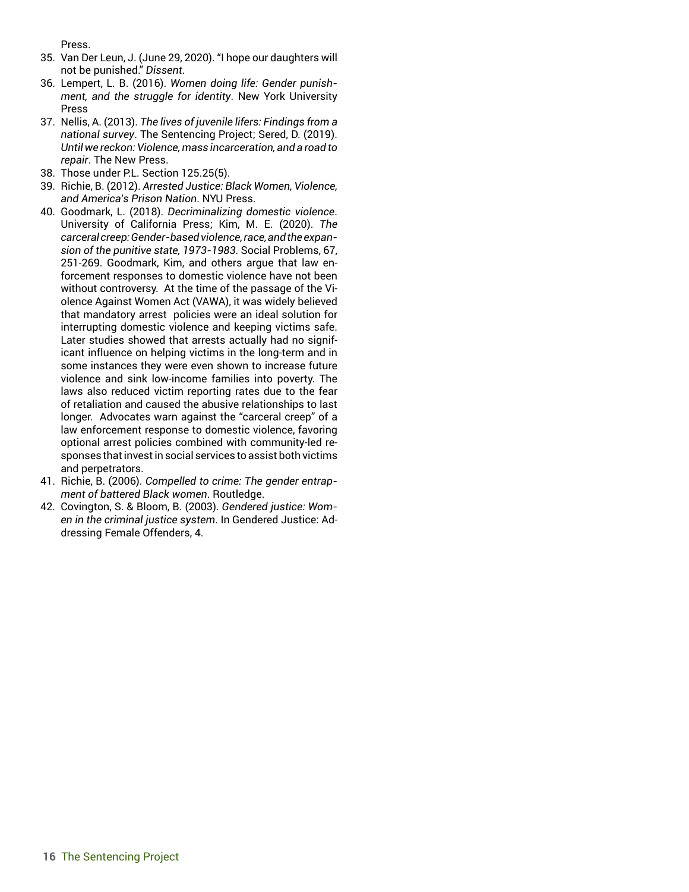Press.

- 35. Van Der Leun, J. (June 29, 2020). "I hope our daughters will not be punished." *Dissent*.
- 36. Lempert, L. B. (2016). *Women doing life: Gender punishment, and the struggle for identity*. New York University Press
- 37. Nellis, A. (2013). *The lives of juvenile lifers: Findings from a national survey*. The Sentencing Project; Sered, D. (2019). *Until we reckon: Violence, mass incarceration, and a road to repair*. The New Press.
- 38. Those under P.L. Section 125.25(5).
- 39. Richie, B. (2012). *Arrested Justice: Black Women, Violence, and America's Prison Nation*. NYU Press.
- 40. Goodmark, L. (2018). *Decriminalizing domestic violence*. University of California Press; Kim, M. E. (2020). *The carceral creep: Gender-based violence, race, and the expansion of the punitive state, 1973-1983*. Social Problems, 67, 251-269. Goodmark, Kim, and others argue that law enforcement responses to domestic violence have not been without controversy. At the time of the passage of the Violence Against Women Act (VAWA), it was widely believed that mandatory arrest policies were an ideal solution for interrupting domestic violence and keeping victims safe. Later studies showed that arrests actually had no significant influence on helping victims in the long-term and in some instances they were even shown to increase future violence and sink low-income families into poverty. The laws also reduced victim reporting rates due to the fear of retaliation and caused the abusive relationships to last longer. Advocates warn against the "carceral creep" of a law enforcement response to domestic violence, favoring optional arrest policies combined with community-led responses that invest in social services to assist both victims and perpetrators.
- 41. Richie, B. (2006). *Compelled to crime: The gender entrapment of battered Black women*. Routledge.
- 42. Covington, S. & Bloom, B. (2003). *Gendered justice: Women in the criminal justice system*. In Gendered Justice: Addressing Female Offenders, 4.